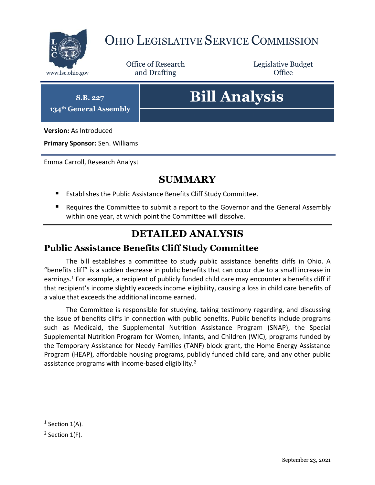

# OHIO LEGISLATIVE SERVICE COMMISSION

Office of Research www.lsc.ohio.gov **and Drafting Office** 

Legislative Budget

**S.B. 227**

**134th General Assembly**

# **Bill Analysis**

**Version:** As Introduced

**Primary Sponsor:** Sen. Williams

Emma Carroll, Research Analyst

## **SUMMARY**

- Establishes the Public Assistance Benefits Cliff Study Committee.
- **E** Requires the Committee to submit a report to the Governor and the General Assembly within one year, at which point the Committee will dissolve.

# **DETAILED ANALYSIS**

#### **Public Assistance Benefits Cliff Study Committee**

The bill establishes a committee to study public assistance benefits cliffs in Ohio. A "benefits cliff" is a sudden decrease in public benefits that can occur due to a small increase in earnings.<sup>1</sup> For example, a recipient of publicly funded child care may encounter a benefits cliff if that recipient's income slightly exceeds income eligibility, causing a loss in child care benefits of a value that exceeds the additional income earned.

The Committee is responsible for studying, taking testimony regarding, and discussing the issue of benefits cliffs in connection with public benefits. Public benefits include programs such as Medicaid, the Supplemental Nutrition Assistance Program (SNAP), the Special Supplemental Nutrition Program for Women, Infants, and Children (WIC), programs funded by the Temporary Assistance for Needy Families (TANF) block grant, the Home Energy Assistance Program (HEAP), affordable housing programs, publicly funded child care, and any other public assistance programs with income-based eligibility.<sup>2</sup>

 $\overline{a}$ 

 $<sup>1</sup>$  Section 1(A).</sup>

 $2$  Section 1(F).